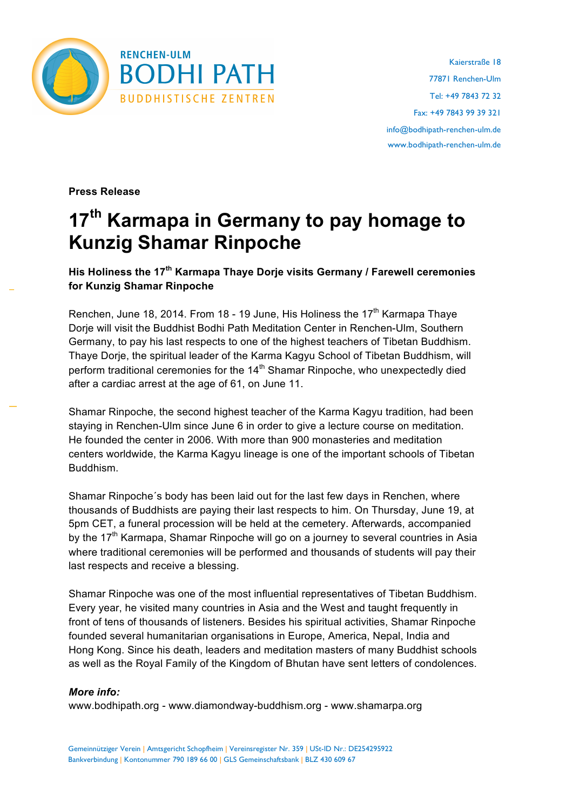

**Press Release**

## **17th Karmapa in Germany to pay homage to Kunzig Shamar Rinpoche**

**His Holiness the 17th Karmapa Thaye Dorje visits Germany / Farewell ceremonies for Kunzig Shamar Rinpoche** 

Renchen, June 18, 2014. From 18 - 19 June, His Holiness the 17<sup>th</sup> Karmapa Thave Dorje will visit the Buddhist Bodhi Path Meditation Center in Renchen-Ulm, Southern Germany, to pay his last respects to one of the highest teachers of Tibetan Buddhism. Thaye Dorje, the spiritual leader of the Karma Kagyu School of Tibetan Buddhism, will perform traditional ceremonies for the 14<sup>th</sup> Shamar Rinpoche, who unexpectedly died after a cardiac arrest at the age of 61, on June 11.

Shamar Rinpoche, the second highest teacher of the Karma Kagyu tradition, had been staying in Renchen-Ulm since June 6 in order to give a lecture course on meditation. He founded the center in 2006. With more than 900 monasteries and meditation centers worldwide, the Karma Kagyu lineage is one of the important schools of Tibetan Buddhism.

Shamar Rinpoche´s body has been laid out for the last few days in Renchen, where thousands of Buddhists are paying their last respects to him. On Thursday, June 19, at 5pm CET, a funeral procession will be held at the cemetery. Afterwards, accompanied by the  $17<sup>th</sup>$  Karmapa, Shamar Rinpoche will go on a journey to several countries in Asia where traditional ceremonies will be performed and thousands of students will pay their last respects and receive a blessing.

Shamar Rinpoche was one of the most influential representatives of Tibetan Buddhism. Every year, he visited many countries in Asia and the West and taught frequently in front of tens of thousands of listeners. Besides his spiritual activities, Shamar Rinpoche founded several humanitarian organisations in Europe, America, Nepal, India and Hong Kong. Since his death, leaders and meditation masters of many Buddhist schools as well as the Royal Family of the Kingdom of Bhutan have sent letters of condolences.

## *More info:*

www.bodhipath.org - www.diamondway-buddhism.org - www.shamarpa.org